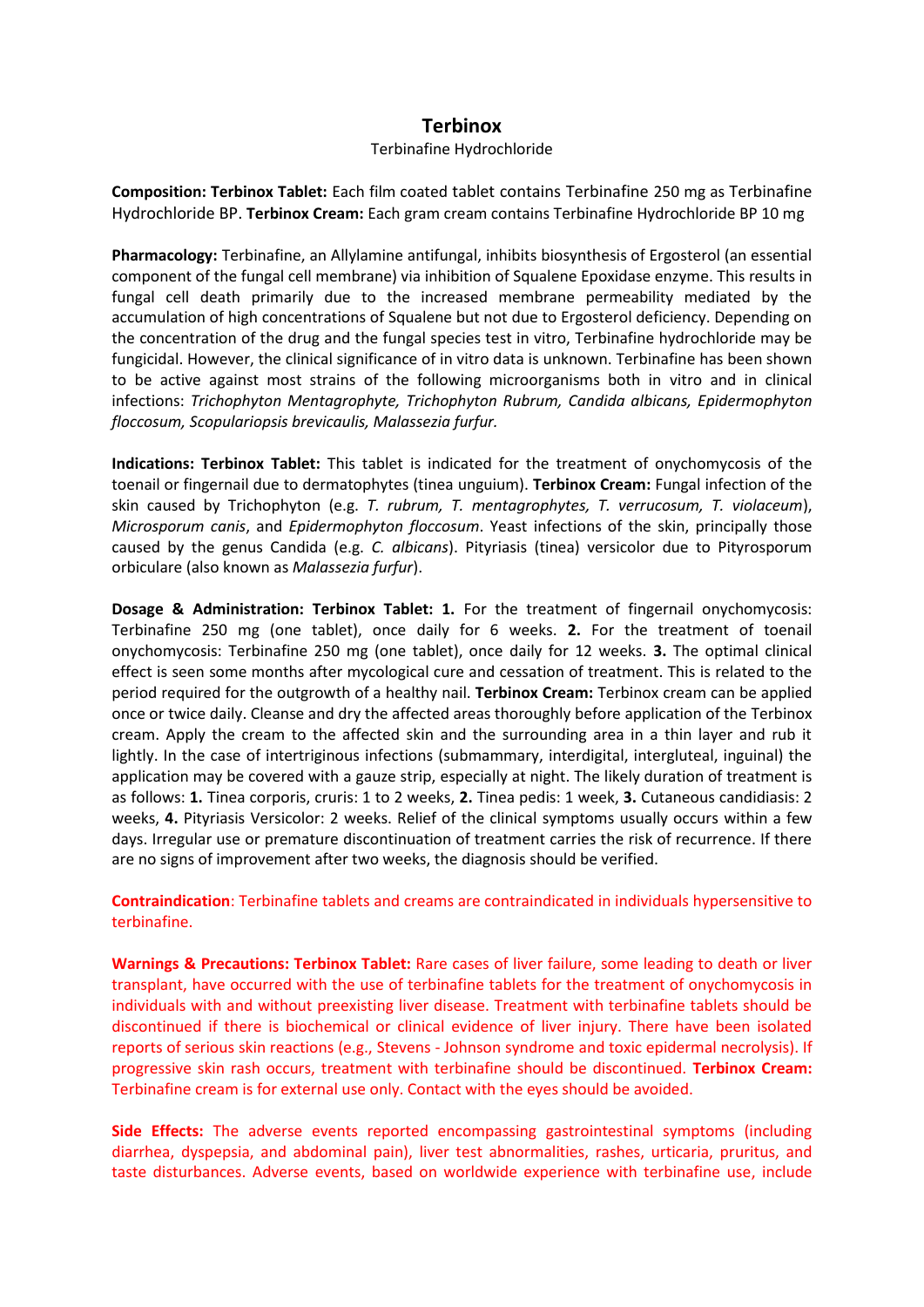## **Terbinox**

## Terbinafine Hydrochloride

**Composition: Terbinox Tablet:** Each film coated tablet contains Terbinafine 250 mg as Terbinafine Hydrochloride BP. **Terbinox Cream:** Each gram cream contains Terbinafine Hydrochloride BP 10 mg

**Pharmacology:** Terbinafine, an Allylamine antifungal, inhibits biosynthesis of Ergosterol (an essential component of the fungal cell membrane) via inhibition of Squalene Epoxidase enzyme. This results in fungal cell death primarily due to the increased membrane permeability mediated by the accumulation of high concentrations of Squalene but not due to Ergosterol deficiency. Depending on the concentration of the drug and the fungal species test in vitro, Terbinafine hydrochloride may be fungicidal. However, the clinical significance of in vitro data is unknown. Terbinafine has been shown to be active against most strains of the following microorganisms both in vitro and in clinical infections: *Trichophyton Mentagrophyte, Trichophyton Rubrum, Candida albicans, Epidermophyton floccosum, Scopulariopsis brevicaulis, Malassezia furfur.*

**Indications: Terbinox Tablet:** This tablet is indicated for the treatment of onychomycosis of the toenail or fingernail due to dermatophytes (tinea unguium). **Terbinox Cream:** Fungal infection of the skin caused by Trichophyton (e.g. *T. rubrum, T. mentagrophytes, T. verrucosum, T. violaceum*), *Microsporum canis*, and *Epidermophyton floccosum*. Yeast infections of the skin, principally those caused by the genus Candida (e.g. *C. albicans*). Pityriasis (tinea) versicolor due to Pityrosporum orbiculare (also known as *Malassezia furfur*).

**Dosage & Administration: Terbinox Tablet: 1.** For the treatment of fingernail onychomycosis: Terbinafine 250 mg (one tablet), once daily for 6 weeks. **2.** For the treatment of toenail onychomycosis: Terbinafine 250 mg (one tablet), once daily for 12 weeks. **3.** The optimal clinical effect is seen some months after mycological cure and cessation of treatment. This is related to the period required for the outgrowth of a healthy nail. **Terbinox Cream:** Terbinox cream can be applied once or twice daily. Cleanse and dry the affected areas thoroughly before application of the Terbinox cream. Apply the cream to the affected skin and the surrounding area in a thin layer and rub it lightly. In the case of intertriginous infections (submammary, interdigital, intergluteal, inguinal) the application may be covered with a gauze strip, especially at night. The likely duration of treatment is as follows: **1.** Tinea corporis, cruris: 1 to 2 weeks, **2.** Tinea pedis: 1 week, **3.** Cutaneous candidiasis: 2 weeks, **4.** Pityriasis Versicolor: 2 weeks. Relief of the clinical symptoms usually occurs within a few days. Irregular use or premature discontinuation of treatment carries the risk of recurrence. If there are no signs of improvement after two weeks, the diagnosis should be verified.

**Contraindication**: Terbinafine tablets and creams are contraindicated in individuals hypersensitive to terbinafine.

**Warnings & Precautions: Terbinox Tablet:** Rare cases of liver failure, some leading to death or liver transplant, have occurred with the use of terbinafine tablets for the treatment of onychomycosis in individuals with and without preexisting liver disease. Treatment with terbinafine tablets should be discontinued if there is biochemical or clinical evidence of liver injury. There have been isolated reports of serious skin reactions (e.g., Stevens - Johnson syndrome and toxic epidermal necrolysis). If progressive skin rash occurs, treatment with terbinafine should be discontinued. **Terbinox Cream:** Terbinafine cream is for external use only. Contact with the eyes should be avoided.

**Side Effects:** The adverse events reported encompassing gastrointestinal symptoms (including diarrhea, dyspepsia, and abdominal pain), liver test abnormalities, rashes, urticaria, pruritus, and taste disturbances. Adverse events, based on worldwide experience with terbinafine use, include